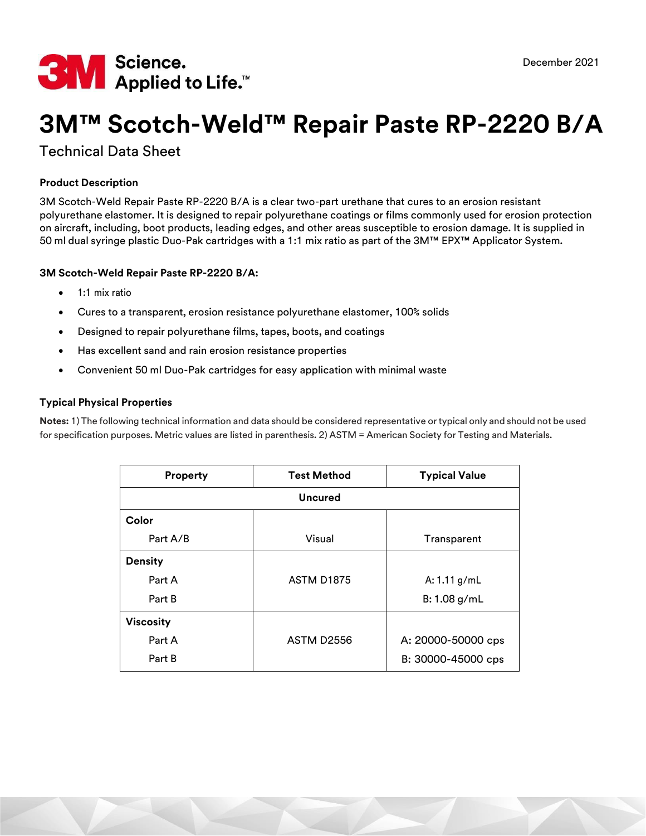

# **3M™ Scotch-Weld™ Repair Paste RP-2220 B/A**

# Technical Data Sheet

# **Product Description**

3M Scotch-Weld Repair Paste RP-2220 B/A is a clear two-part urethane that cures to an erosion resistant polyurethane elastomer. It is designed to repair polyurethane coatings or films commonly used for erosion protection on aircraft, including, boot products, leading edges, and other areas susceptible to erosion damage. It is supplied in 50 ml dual syringe plastic Duo-Pak cartridges with a 1:1 mix ratio as part of the 3M™ EPX™ Applicator System.

## **3M Scotch-Weld Repair Paste RP-2220 B/A:**

- 1:1 mix ratio
- Cures to a transparent, erosion resistance polyurethane elastomer, 100% solids
- Designed to repair polyurethane films, tapes, boots, and coatings
- Has excellent sand and rain erosion resistance properties
- Convenient 50 ml Duo-Pak cartridges for easy application with minimal waste

## **Typical Physical Properties**

**Notes:** 1) The following technical information and data should be considered representative or typical only and should not be used for specification purposes. Metric values are listed in parenthesis. 2) ASTM = American Society for Testing and Materials.

| <b>Property</b>  | <b>Test Method</b> | <b>Typical Value</b> |  |  |  |
|------------------|--------------------|----------------------|--|--|--|
| <b>Uncured</b>   |                    |                      |  |  |  |
| Color            |                    |                      |  |  |  |
| Part A/B         | Visual             | Transparent          |  |  |  |
| <b>Density</b>   |                    |                      |  |  |  |
| Part A           | <b>ASTM D1875</b>  | A: $1.11$ g/mL       |  |  |  |
| Part B           |                    | B: 1.08 g/mL         |  |  |  |
| <b>Viscosity</b> |                    |                      |  |  |  |
| Part A           | <b>ASTM D2556</b>  | A: 20000-50000 cps   |  |  |  |
| Part B           |                    | B: 30000-45000 cps   |  |  |  |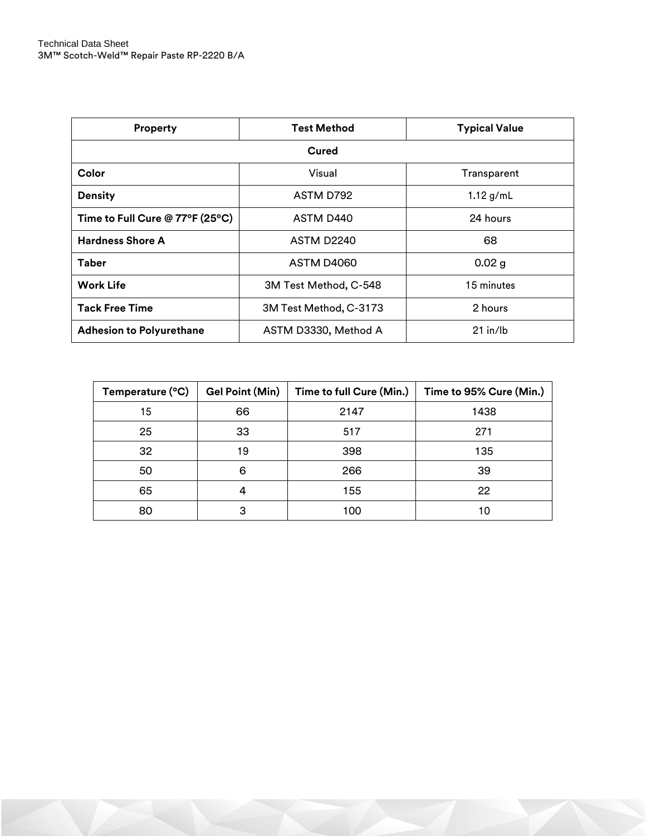| <b>Property</b>                 | <b>Test Method</b>                 | <b>Typical Value</b> |  |  |  |
|---------------------------------|------------------------------------|----------------------|--|--|--|
| Cured                           |                                    |                      |  |  |  |
| Color                           | Visual<br>Transparent              |                      |  |  |  |
| <b>Density</b>                  | ASTM D792                          | $1.12$ g/mL          |  |  |  |
| Time to Full Cure @ 77°F (25°C) | ASTM D440                          | 24 hours             |  |  |  |
| <b>Hardness Shore A</b>         | ASTM D2240                         | 68                   |  |  |  |
| <b>Taber</b>                    | <b>ASTM D4060</b>                  | $0.02$ g             |  |  |  |
| <b>Work Life</b>                | 3M Test Method, C-548              | 15 minutes           |  |  |  |
| <b>Tack Free Time</b>           | 3M Test Method, C-3173             | 2 hours              |  |  |  |
| <b>Adhesion to Polyurethane</b> | $21$ in/lb<br>ASTM D3330, Method A |                      |  |  |  |

| Temperature (°C) | <b>Gel Point (Min)</b> | Time to full Cure (Min.) | Time to 95% Cure (Min.) |
|------------------|------------------------|--------------------------|-------------------------|
| 15               | 66                     | 2147                     | 1438                    |
| 25               | 33                     | 517                      | 271                     |
| 32               | 19                     | 398                      | 135                     |
| 50               | 6                      | 266                      | 39                      |
| 65               | 4                      | 155                      | 22                      |
| 80               | з                      | 100                      | 10                      |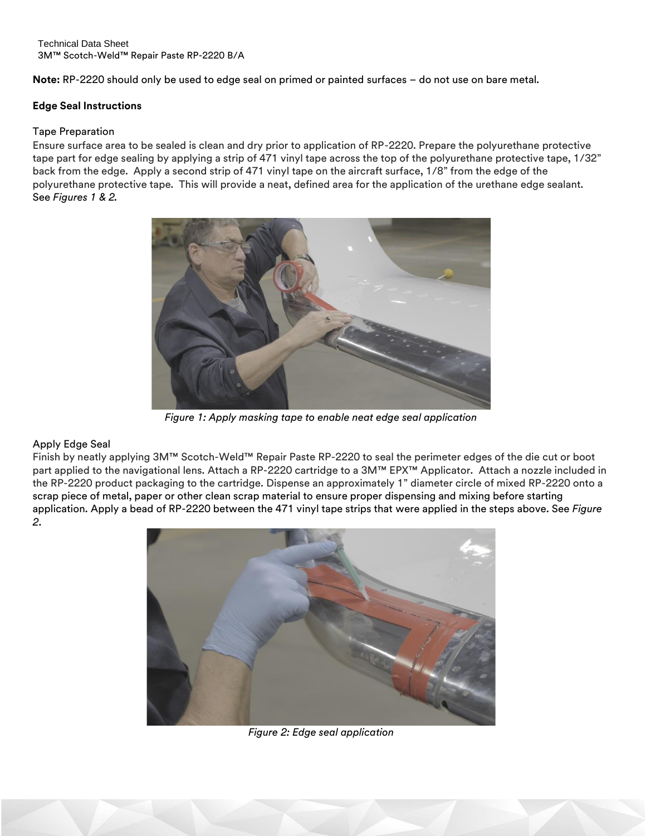**Note:** RP-2220 should only be used to edge seal on primed or painted surfaces – do not use on bare metal.

#### **Edge Seal Instructions**

#### Tape Preparation

Ensure surface area to be sealed is clean and dry prior to application of RP-2220. Prepare the polyurethane protective tape part for edge sealing by applying a strip of 471 vinyl tape across the top of the polyurethane protective tape, 1/32" back from the edge. Apply a second strip of 471 vinyl tape on the aircraft surface, 1/8" from the edge of the polyurethane protective tape. This will provide a neat, defined area for the application of the urethane edge sealant. See *Figures 1 & 2.*



*Figure 1: Apply masking tape to enable neat edge seal application*

# Apply Edge Seal

Finish by neatly applying 3M™ Scotch-Weld™ Repair Paste RP-2220 to seal the perimeter edges of the die cut or boot part applied to the navigational lens. Attach a RP-2220 cartridge to a 3M™ EPX™ Applicator. Attach a nozzle included in the RP-2220 product packaging to the cartridge. Dispense an approximately 1" diameter circle of mixed RP-2220 onto a scrap piece of metal, paper or other clean scrap material to ensure proper dispensing and mixing before starting application. Apply a bead of RP-2220 between the 471 vinyl tape strips that were applied in the steps above. See *Figure 2*.



*Figure 2: Edge seal application*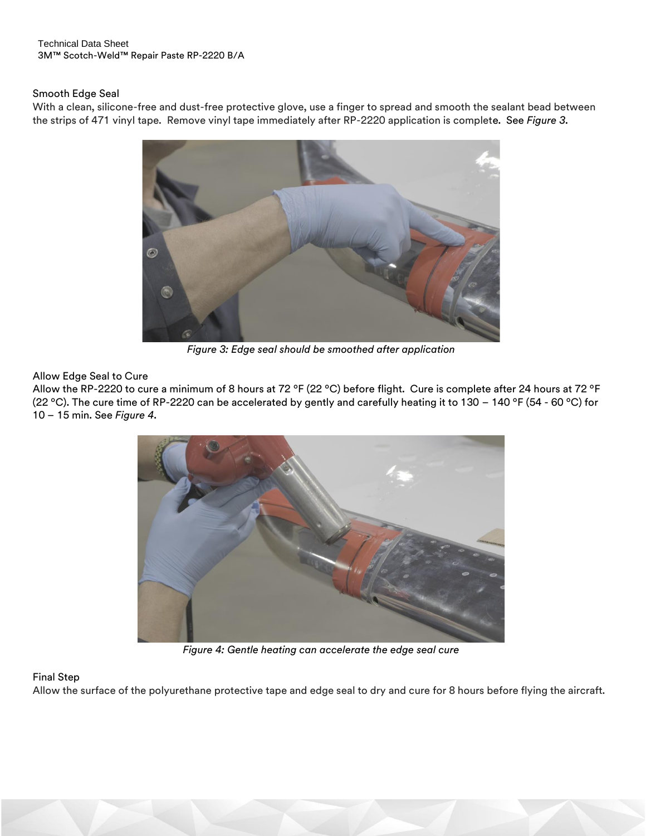# Smooth Edge Seal

With a clean, silicone-free and dust-free protective glove, use a finger to spread and smooth the sealant bead between the strips of 471 vinyl tape. Remove vinyl tape immediately after RP-2220 application is complete. See *Figure 3*.



*Figure 3: Edge seal should be smoothed after application*

# Allow Edge Seal to Cure

Allow the RP-2220 to cure a minimum of 8 hours at 72 °F (22 °C) before flight. Cure is complete after 24 hours at 72 °F (22 ºC). The cure time of RP-2220 can be accelerated by gently and carefully heating it to 130 – 140 ºF (54 - 60 ºC) for 10 – 15 min. See *Figure 4*.



*Figure 4: Gentle heating can accelerate the edge seal cure*

# Final Step

Allow the surface of the polyurethane protective tape and edge seal to dry and cure for 8 hours before flying the aircraft.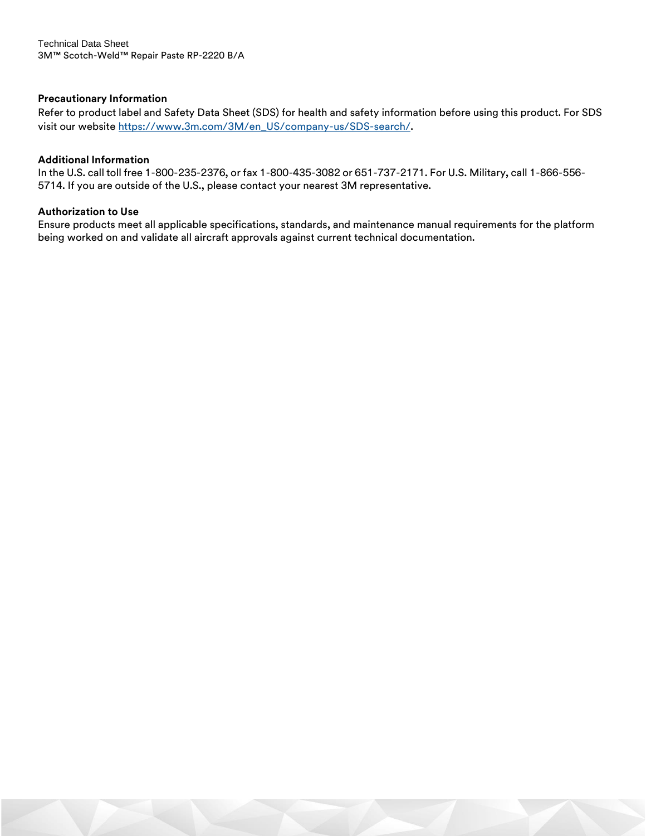## **Precautionary Information**

Refer to product label and Safety Data Sheet (SDS) for health and safety information before using this product. For SDS visit our website https:/[/www.3m.com/3M/en\\_US/company-us/SDS-search/.](http://www.3m.com/3M/en_US/company-us/SDS-search/)

#### **Additional Information**

In the U.S. call toll free 1-800-235-2376, or fax 1-800-435-3082 or 651-737-2171. For U.S. Military, call 1-866-556- 5714. If you are outside of the U.S., please contact your nearest 3M representative.

## **Authorization to Use**

Ensure products meet all applicable specifications, standards, and maintenance manual requirements for the platform being worked on and validate all aircraft approvals against current technical documentation.